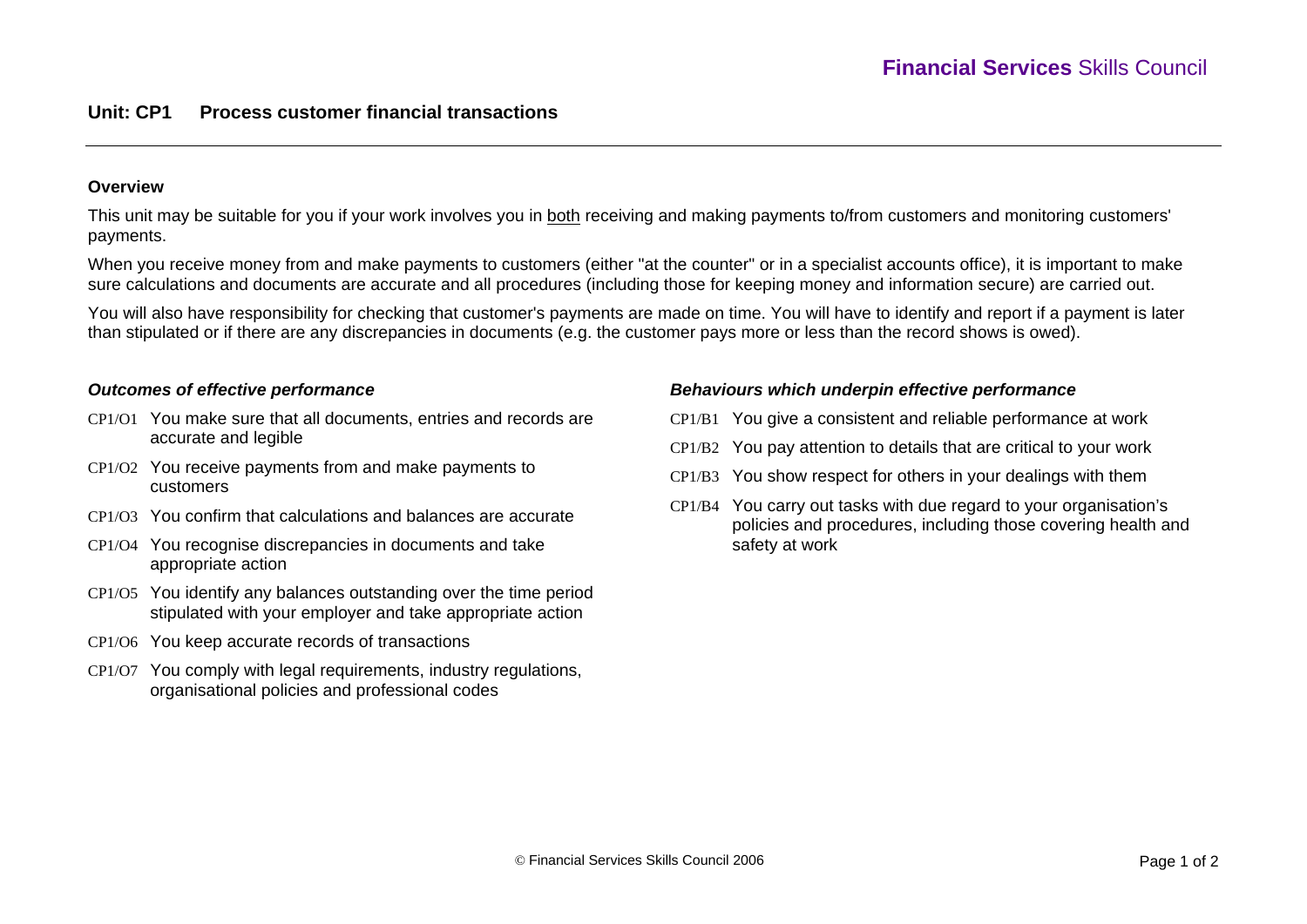# **Unit: CP1 Process customer financial transactions**

### **Overview**

This unit may be suitable for you if your work involves you in both receiving and making payments to/from customers and monitoring customers' payments.

When you receive money from and make payments to customers (either "at the counter" or in a specialist accounts office), it is important to make sure calculations and documents are accurate and all procedures (including those for keeping money and information secure) are carried out.

You will also have responsibility for checking that customer's payments are made on time. You will have to identify and report if a payment is later than stipulated or if there are any discrepancies in documents (e.g. the customer pays more or less than the record shows is owed).

### *Outcomes of effective performance*

- CP1/O1 You make sure that all documents, entries and records are accurate and legible
- CP1/O2 You receive payments from and make payments to customers
- CP1/O3 You confirm that calculations and balances are accurate
- CP1/O4 You recognise discrepancies in documents and take appropriate action
- CP1/O5 You identify any balances outstanding over the time period stipulated with your employer and take appropriate action
- CP1/O6 You keep accurate records of transactions
- CP1/O7 You comply with legal requirements, industry regulations, organisational policies and professional codes

#### *Behaviours which underpin effective performance*

- CP1/B1 You give a consistent and reliable performance at work
- CP1/B2 You pay attention to details that are critical to your work
- CP1/B3 You show respect for others in your dealings with them
- CP1/B4 You carry out tasks with due regard to your organisation's policies and procedures, including those covering health and safety at work